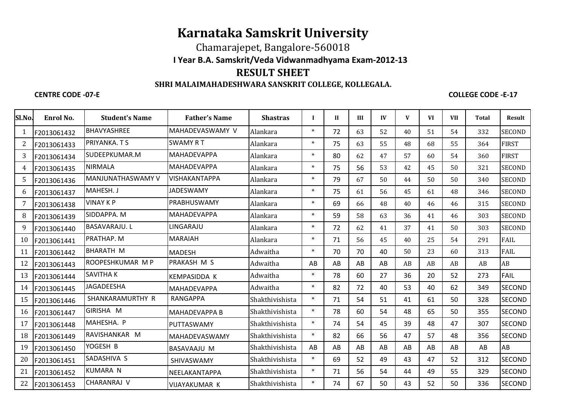## **Karnataka Samskrit University**

## **I Year B.A. Samskrit/Veda Vidwanmadhyama Exam-2012-13** Chamarajepet, Bangalore-560018

# **RESULT SHEET**

### **SHRI MALAIMAHADESHWARA SANSKRIT COLLEGE, KOLLEGALA.**

#### **CENTRE CODE -07-E**

**COLLEGE CODE -E-17**

| Sl.No.         | Enrol No.   | <b>Student's Name</b> | <b>Father's Name</b> | <b>Shastras</b> | $\mathbf{I}$ | $\mathbf{I}$ | III | $\bf{IV}$ | V  | <b>VI</b> | <b>VII</b> | <b>Total</b> | <b>Result</b> |
|----------------|-------------|-----------------------|----------------------|-----------------|--------------|--------------|-----|-----------|----|-----------|------------|--------------|---------------|
| $\mathbf{1}$   | F2013061432 | BHAVYASHREE           | MAHADEVASWAMY V      | Alankara        | $\ast$       | 72           | 63  | 52        | 40 | 51        | 54         | 332          | <b>SECOND</b> |
| $\overline{2}$ | F2013061433 | PRIYANKA. T S         | <b>SWAMY RT</b>      | Alankara        | $\ast$       | 75           | 63  | 55        | 48 | 68        | 55         | 364          | <b>FIRST</b>  |
| 3              | F2013061434 | SUDEEPKUMAR.M         | <b>MAHADEVAPPA</b>   | Alankara        | $\ast$       | 80           | 62  | 47        | 57 | 60        | 54         | 360          | <b>FIRST</b>  |
| 4              | F2013061435 | <b>NIRMALA</b>        | <b>MAHADEVAPPA</b>   | Alankara        | $\ast$       | 75           | 56  | 53        | 42 | 45        | 50         | 321          | <b>SECOND</b> |
| 5              | F2013061436 | MANJUNATHASWAMY V     | VISHAKANTAPPA        | Alankara        | $\ast$       | 79           | 67  | 50        | 44 | 50        | 50         | 340          | <b>SECOND</b> |
| 6              | F2013061437 | MAHESH. J             | <b>JADESWAMY</b>     | Alankara        | $\ast$       | 75           | 61  | 56        | 45 | 61        | 48         | 346          | <b>SECOND</b> |
| 7              | F2013061438 | <b>VINAY K P</b>      | PRABHUSWAMY          | Alankara        | $\ast$       | 69           | 66  | 48        | 40 | 46        | 46         | 315          | <b>SECOND</b> |
| 8              | F2013061439 | SIDDAPPA. M           | <b>MAHADEVAPPA</b>   | Alankara        | $\ast$       | 59           | 58  | 63        | 36 | 41        | 46         | 303          | <b>SECOND</b> |
| 9              | F2013061440 | <b>BASAVARAJU.L</b>   | LINGARAJU            | Alankara        | $\ast$       | 72           | 62  | 41        | 37 | 41        | 50         | 303          | <b>SECOND</b> |
| 10             | F2013061441 | PRATHAP. M            | <b>MARAIAH</b>       | Alankara        | $\ast$       | 71           | 56  | 45        | 40 | 25        | 54         | 291          | <b>FAIL</b>   |
| 11             | F2013061442 | <b>BHARATH M</b>      | <b>MADESH</b>        | Adwaitha        | $\ast$       | 70           | 70  | 40        | 50 | 23        | 60         | 313          | <b>FAIL</b>   |
| 12             | F2013061443 | ROOPESHKUMAR M P      | PRAKASH M S          | Adwaitha        | AB           | AB           | AB  | AB        | AB | AB        | AB         | AB           | AB            |
| 13             | F2013061444 | SAVITHA K             | <b>KEMPASIDDA K</b>  | Adwaitha        | $\ast$       | 78           | 60  | 27        | 36 | 20        | 52         | 273          | FAIL          |
| 14             | F2013061445 | <b>JAGADEESHA</b>     | <b>MAHADEVAPPA</b>   | Adwaitha        | $\ast$       | 82           | 72  | 40        | 53 | 40        | 62         | 349          | <b>SECOND</b> |
| 15             | F2013061446 | SHANKARAMURTHY R      | <b>RANGAPPA</b>      | Shakthivishista | $\ast$       | 71           | 54  | 51        | 41 | 61        | 50         | 328          | <b>SECOND</b> |
| 16             | F2013061447 | GIRISHA M             | <b>MAHADEVAPPA B</b> | Shakthivishista | $\ast$       | 78           | 60  | 54        | 48 | 65        | 50         | 355          | <b>SECOND</b> |
| 17             | F2013061448 | MAHESHA. P            | PUTTASWAMY           | Shakthivishista | $\ast$       | 74           | 54  | 45        | 39 | 48        | 47         | 307          | <b>SECOND</b> |
| 18             | F2013061449 | RAVISHANKAR M         | <b>MAHADEVASWAMY</b> | Shakthivishista | $\ast$       | 82           | 66  | 56        | 47 | 57        | 48         | 356          | <b>SECOND</b> |
| 19             | F2013061450 | YOGESH B              | <b>BASAVAAJU M</b>   | Shakthivishista | AB           | AB           | AB  | AB        | AB | AB        | AB         | AB           | AB            |
| 20             | F2013061451 | SADASHIVA S           | SHIVASWAMY           | Shakthivishista | $\ast$       | 69           | 52  | 49        | 43 | 47        | 52         | 312          | <b>SECOND</b> |
| 21             | F2013061452 | <b>KUMARA N</b>       | NEELAKANTAPPA        | Shakthivishista | $\ast$       | 71           | 56  | 54        | 44 | 49        | 55         | 329          | <b>SECOND</b> |
| 22             | F2013061453 | CHARANRAJ V           | VIJAYAKUMAR K        | Shakthivishista | $\ast$       | 74           | 67  | 50        | 43 | 52        | 50         | 336          | <b>SECOND</b> |